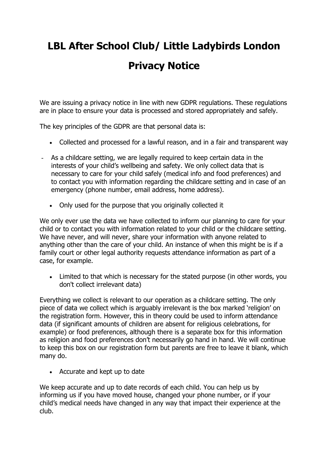## **LBL After School Club/ Little Ladybirds London**

## **Privacy Notice**

We are issuing a privacy notice in line with new GDPR regulations. These regulations are in place to ensure your data is processed and stored appropriately and safely.

The key principles of the GDPR are that personal data is:

- Collected and processed for a lawful reason, and in a fair and transparent way
- As a childcare setting, we are legally required to keep certain data in the interests of your child's wellbeing and safety. We only collect data that is necessary to care for your child safely (medical info and food preferences) and to contact you with information regarding the childcare setting and in case of an emergency (phone number, email address, home address).
	- Only used for the purpose that you originally collected it

We only ever use the data we have collected to inform our planning to care for your child or to contact you with information related to your child or the childcare setting. We have never, and will never, share your information with anyone related to anything other than the care of your child. An instance of when this might be is if a family court or other legal authority requests attendance information as part of a case, for example.

• Limited to that which is necessary for the stated purpose (in other words, you don't collect irrelevant data)

Everything we collect is relevant to our operation as a childcare setting. The only piece of data we collect which is arguably irrelevant is the box marked 'religion' on the registration form. However, this in theory could be used to inform attendance data (if significant amounts of children are absent for religious celebrations, for example) or food preferences, although there is a separate box for this information as religion and food preferences don't necessarily go hand in hand. We will continue to keep this box on our registration form but parents are free to leave it blank, which many do.

• Accurate and kept up to date

We keep accurate and up to date records of each child. You can help us by informing us if you have moved house, changed your phone number, or if your child's medical needs have changed in any way that impact their experience at the club.